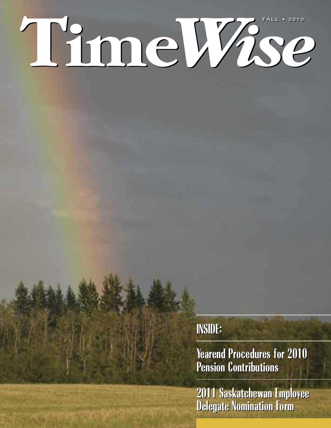# **Time***Wise*  $FALL$  • 2010

### **INSIDE: INSIDE:**

**Yearend Procedures for 2010 Yearend Procedures for 2010 Pension Contributions Pension Contributions**

**2011 Saskatchewan Employee Delegate Nomination Form 2011 Saskatchewan Employee Delegate Nomination Form**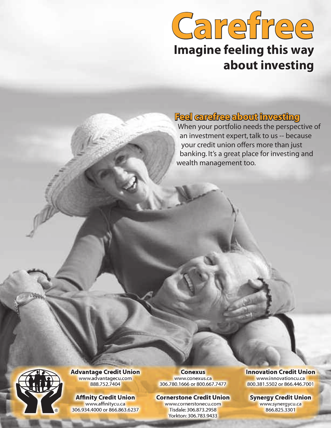## **Carefree Imagine feeling this way about investing**

### **Feel carefree about investing**

When your portfolio needs the perspective of an investment expert, talk to us -- because your credit union offers more than just banking. It's a great place for investing and wealth management too.



**Advantage Credit Union** www.advantagecu.com 888.752.7404

**Affinity Credit Union** www.affinitycu.ca 306.934.4000 or 866.863.6237

**Conexus**  www.conexus.ca 306.780.1666 or 800.667.7477

#### **Cornerstone Credit Union**

www.cornerstonecu.com Tisdale: 306.873.2958 Yorkton: 306.783.9433

**Innovation Credit Union**

www.innovationcu.ca 800.381.5502 or 866.446.7001

**Synergy Credit Union**

www.synergycu.ca 866.825.3301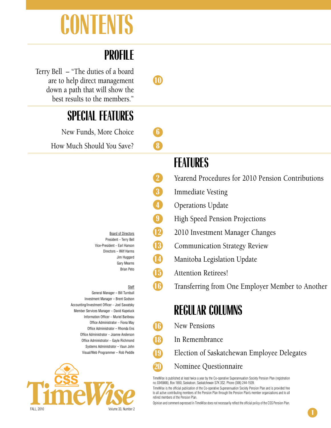# **CONTENTS**

### **PROFILE**

Terry Bell – "The duties of a board are to help direct management **10** down a path that will show the best results to the members."

### **SPECIAL FEATURES**

New Funds, More Choice **6**

How Much Should You Save? **8**

Board of Directors President – Terry Bell Vice-President – Earl Hanson Directors – Wilf Harms Jim Huggard Gary Mearns Brian Peto

- **Staff**
- General Manager Bill Turnbull Investment Manager – Brent Godson Accounting/Investment Officer – Joel Sawatsky Member Services Manager – David Kapeluck Information Officer – Muriel Baribeau Office Administrator – Fiona May Office Administrator – Rhonda Ens Office Administrator – Joanne Anderson Office Administrator – Gayle Richmond Systems Administrator – Vaun John Visual/Web Programmer – Rob Peddle



### **FEATURES**

- **2** Yearend Procedures for 2010 Pension Contributions
- **3** Immediate Vesting
- **4** Operations Update
- **9** High Speed Pension Projections
- **12** 2010 Investment Manager Changes
- **13** Communication Strategy Review
- **14** Manitoba Legislation Update
- **15** Attention Retirees!
- **16** Transferring from One Employer Member to Another

### **REGULAR COLUMNS**

- **16** New Pensions
- **18** In Remembrance
	- **19** Election of Saskatchewan Employee Delegates
	- **20** Nominee Questionnaire

TimeWise is published at least twice a year by the Co-operative Superannuation Society Pension Plan (registration no. 0345868), Box 1850, Saskatoon, Saskatchewan S7K 3S2. Phone (306) 244-1539.

TimeWise is the official publication of the Co-operative Superannuation Society Pension Plan and is provided free to all active contributing members of the Pension Plan through the Pension Plan's member organizations and to all retired members of the Pension Plan.

Opinion and comment expressed in TimeWise does not necessarily reflect the official policy of the CSS Pension Plan.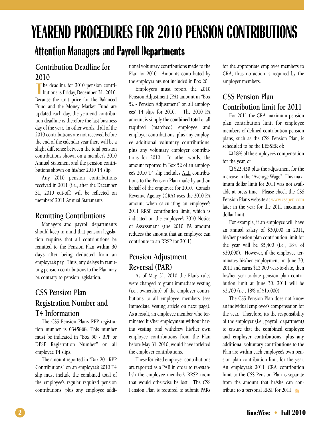### **YEAREND PROCEDURES FOR 2010 PENSION CONTRIBUTIONS Attention Managers and Payroll Departments**

### **Contribution Deadline for**

**2010**<br>
The but he deadline for 2010 pension contributions is Friday, **December 31, 2010**. Because the unit price for the Balanced Fund and the Money Market Fund are updated each day, the year-end contribution deadline is therefore the last business day of the year. In other words, if all of the 2010 contributions are not received before the end of the calendar year there will be a slight difference between the total pension contributions shown on a member's 2010 Annual Statement and the pension contributions shown on his/her 2010 T4 slip.

Any 2010 pension contributions received in 2011 (i.e., after the December 31, 2010 cut-off) will be reflected on members' 2011 Annual Statements.

### **Remitting Contributions**

Managers and payroll departments should keep in mind that pension legislation requires that all contributions be remitted to the Pension Plan **within 30 days** after being deducted from an employee's pay. Thus, any delays in remitting pension contributions to the Plan may be contrary to pension legislation.

### **CSS Pension Plan Registration Number and T4 Information**

The CSS Pension Plan's RPP registration number is **0345868**. This number **must** be indicated in "Box 50 - RPP or DPSP Registration Number" on all employee T4 slips.

The amount reported in "Box 20 - RPP Contributions" on an employee's 2010 T4 slip must include the combined total of the employee's regular required pension contributions, plus any employee additional voluntary contributions made to the Plan for 2010. Amounts contributed by the employer are not included in Box 20.

Employers must report the 2010 Pension Adjustment (PA) amount in "Box 52 - Pension Adjustment" on all employees' T4 slips for 2010. The 2010 PA amount is simply the **combined total** of all required (matched) employee and employer contributions, **plus** any employee additional voluntary contributions, **plus** any voluntary employer contributions for 2010. In other words, the amount reported in Box 52 of an employee's 2010 T4 slip includes **ALL** contributions to the Pension Plan made by and on behalf of the employee for 2010. Canada Revenue Agency (CRA) uses the 2010 PA amount when calculating an employee's 2011 RRSP contribution limit, which is indicated on the employee's 2010 Notice of Assessment (the 2010 PA amount reduces the amount that an employee can contribute to an RRSP for 2011).

### **Pension Adjustment Reversal (PAR)**

As of May 31, 2010 the Plan's rules were changed to grant immediate vesting (i.e., ownership) of the employer contributions to all employee members (see Immediate Vesting article on next page). As a result, an employee member who terminated his/her employment without having vesting, and withdrew his/her own employee contributions from the Plan before May 31, 2010, would have forfeited the employer contributions.

These forfeited employer contributions are reported as a PAR in order to re-establish the employee member's RRSP room that would otherwise be lost. The CSS Pension Plan is required to submit PARs

for the appropriate employee members to CRA, thus no action is required by the employer members.

### **CSS Pension Plan Contribution limit for 2011**

For 2011 the CRA maximum pension plan contribution limit for employee members of defined contribution pension plans, such as the CSS Pension Plan, is scheduled to be the **LESSER** of:

❏ **18%** of the employee's compensation for the year, or

❏ **\$22,450** plus the adjustment for the increase in the "Average Wage". This maximum dollar limit for 2011 was not available at press time. Please check the CSS Pension Plan's website at www.csspen.com later in the year for the 2011 maximum dollar limit.

For example, if an employee will have an annual salary of \$30,000 in 2011, his/her pension plan contribution limit for the year will be \$5,400 (i.e., 18% of \$30,000). However, if the employee terminates his/her employment on June 30, 2011 and earns \$15,000 year-to-date, then his/her year-to-date pension plan contribution limit at June 30, 2011 will be \$2,700 (i.e., 18% of \$15,000).

The CSS Pension Plan does not know an individual employee's compensation for the year. Therefore, it's the responsibility of the employer (i.e., payroll department) to ensure that the **combined employee and employer contributions, plus any additional voluntary contributions** to the Plan are within each employee's own pension plan contribution limit for the year. An employee's 2011 CRA contribution limit to the CSS Pension Plan is separate from the amount that he/she can contribute to a personal RRSP for 2011.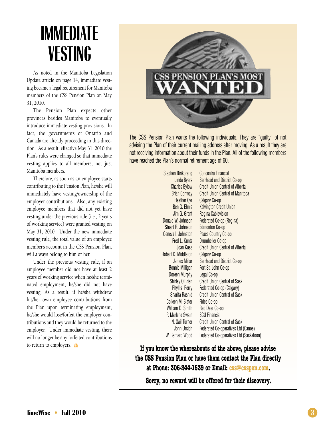## **IMMEDIATE VESTING**

As noted in the Manitoba Legislation Update article on page 14, immediate vesting became a legal requirement for Manitoba members of the CSS Pension Plan on May 31, 2010.

The Pension Plan expects other provinces besides Manitoba to eventually introduce immediate vesting provisions. In fact, the governments of Ontario and Canada are already proceeding in this direction. As a result, effective May 31, 2010 the Plan's rules were changed so that immediate vesting applies to all members, not just Manitoba members.

Therefore, as soon as an employee starts contributing to the Pension Plan, he/she will immediately have vesting/ownership of the employer contributions. Also, any existing employee members that did not yet have vesting under the previous rule (i.e., 2 years of working service) were granted vesting on May 31, 2010. Under the new immediate vesting rule, the total value of an employee member's account in the CSS Pension Plan, will always belong to him or her.

Under the previous vesting rule, if an employee member did not have at least 2 years of working service when he/she terminated employment, he/she did not have vesting. As a result, if he/she withdrew his/her own employee contributions from the Plan upon terminating employment, he/she would lose/forfeit the employer contributions and they would be returned to the employer. Under immediate vesting, there will no longer be any forfeited contributions to return to employers.  $\triangleq$ 



The CSS Pension Plan wants the following individuals. They are "guilty" of not advising the Plan of their current mailing address after moving. As a result they are not receiving information about their funds in the Plan. All of the following members have reached the Plan's normal retirement age of 60.

> Stephen Birikorang Concentra Financial Linda Byers Barrhead and District Co-op Heather Cyr Calgary Co-op Jim G. Grant Regina Cablevision Donald W. Johnson Federated Co-op (Regina) Stuart R. Johnson Edmonton Co-op Geneva I. Johnston Peace Country Co-op Fred L. Kuntz Drumheller Co-op Robert D. Middleton Calgary Co-op Bonnie Milligan Fort St. John Co-op Doreen Murphy Legal Co-op Colleen M. Slater Fides Co-op William D. Smith Red Deer Co-op P. Marlene Swain BCU Financial

Charles Bylow Credit Union Central of Alberta Brian Conway Credit Union Central of Manitoba Ben G. Ehnis Kelvington Credit Union Joan Kuss Credit Union Central of Alberta James Millar Barrhead and District Co-op Shirley O'Brien Credit Union Central of Sask Phyllis Perry Federated Co-op (Calgary) Sharifa Rashid Credit Union Central of Sask N. Gail Turner Credit Union Central of Sask John Ursich Federated Co-operatives Ltd (Canoe) W. Bernard Wood Federated Co-operatives Ltd (Saskatoon)

**If you know the whereabouts of the above, please advise the CSS Pension Plan or have them contact the Plan directly at Phone: 306-244-1539 or Email: css@csspen.com.**

**Sorry, no reward will be offered for their discovery.**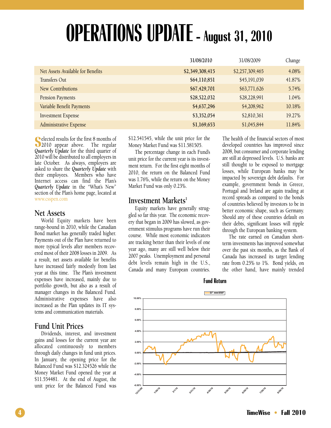## **OPERATIONS UPDATE - August 31, 2010**

|                                   | 31/08/2010      | 31/08/2009      | Change |
|-----------------------------------|-----------------|-----------------|--------|
| Net Assets Available for Benefits | \$2,349,308,415 | \$2,257,309,465 | 4.08%  |
| Transfers Out                     | \$64,110,851    | \$45,191,039    | 41.87% |
| <b>New Contributions</b>          | \$67,429,701    | \$63,771,626    | 5.74%  |
| <b>Pension Payments</b>           | \$28,522,032    | \$28,228,991    | 1.04%  |
| Variable Benefit Payments         | \$4,637,296     | \$4,208,962     | 10.18% |
| <b>Investment Expense</b>         | \$3,352,054     | \$2,810,361     | 19.27% |
| Administrative Expense            | \$1,169,653     | \$1,045,844     | 11.84% |

**S**<br> **S** elected results for the first 8 months of<br> **S** 2010 appear above. The regular elected results for the first 8 months of *Quarterly Update* for the third quarter of 2010 will be distributed to all employers in late October. As always, employers are asked to share the *Quarterly Update* with their employees. Members who have Internet access can find the Plan's *Quarterly Update* in the "What's New" section of the Plan's home page, located at www.csspen.com

### **Net Assets**

World Equity markets have been range-bound in 2010, while the Canadian Bond market has generally traded higher. Payments out of the Plan have returned to more typical levels after members recovered most of their 2008 losses in 2009. As a result, net assets available for benefits have increased fairly modestly from last year at this time. The Plan's investment expenses have increased, mainly due to portfolio growth, but also as a result of manager changes in the Balanced Fund. Administrative expenses have also increased as the Plan updates its IT systems and communication materials.

### **Fund Unit Prices**

Dividends, interest, and investment gains and losses for the current year are allocated continuously to members through daily changes in fund unit prices. In January, the opening price for the Balanced Fund was \$12.324526 while the Money Market Fund opened the year at \$11.554481. At the end of August, the unit price for the Balanced Fund was \$12.541545, while the unit price for the Money Market Fund was \$11.581505.

The percentage change in each Fund's unit price for the current year is its investment return. For the first eight months of 2010, the return on the Balanced Fund was 1.76%, while the return on the Money Market Fund was only 0.23%.

### Investment Markets<sup>1</sup>

Equity markets have generally struggled so far this year. The economic recovery that began in 2009 has slowed, as government stimulus programs have run their course. While most economic indicators are tracking better than their levels of one year ago, many are still well below their 2007 peaks. Unemployment and personal debt levels remain high in the U.S., Canada and many European countries.

The health of the financial sectors of most developed countries has improved since 2008, but consumer and corporate lending are still at depressed levels. U.S. banks are still thought to be exposed to mortgage losses, while European banks may be impacted by sovereign debt defaults. For example, government bonds in Greece, Portugal and Ireland are again trading at record spreads as compared to the bonds of countries believed by investors to be in better economic shape, such as Germany. Should any of these countries default on their debts, significant losses will ripple through the European banking system.

The rate earned on Canadian shortterm investments has improved somewhat over the past six months, as the Bank of Canada has increased its target lending rate from 0.25% to 1%. Bond yields, on the other hand, have mainly trended



**Fund Return**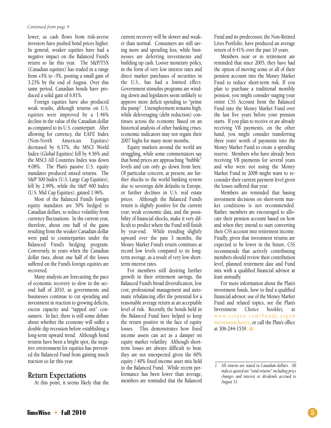#### *Continued from page 4*

lower, as cash flows from risk-averse investors have pushed bond prices higher. In general, weaker equities have had a negative impact on the Balanced Fund's return so far this year. The S&P/TSX (Canadian equities) has traded in a range from +5% to -5%, posting a small gain of 3.23% by the end of August. Over this same period, Canadian bonds have produced a solid gain of 6.81%.

Foreign equities have also produced weak results, although returns on U.S. equities were improved by a 1.46% decline in the value of the Canadian dollar as compared to its U.S. counterpart. After allowing for currency, the EAFE Index (Non-North American Equities) decreased by 6.37%, the MSCI World Index (Global Equities) fell by 4.56% and the MSCI All Countries Index was down 4.08%. The Plan's passive U.S. equity mandates produced mixed returns. The S&P 500 Index (U.S. Large Cap Equities), fell by 2.99%, while the S&P 400 Index (U.S. Mid Cap Equities), gained 1.96%.

Most of the Balanced Fund's foreign equity mandates are 50% hedged to Canadian dollars, to reduce volatility from currency fluctuations. In the current year, therefore, about one half of the gains resulting from the weaker Canadian dollar were paid to counterparties under the Balanced Fund's hedging program. Conversely, in years when the Canadian dollar rises, about one half of the losses suffered on the Fund's foreign equities are recovered.

Many analysts are forecasting the pace of economic recovery to slow in the second half of 2010, as governments and businesses continue to cut spending and investment in reaction to growing deficits, excess capacity and "tapped out" consumers. In fact, there is still some debate about whether the economy will suffer a double dip recession before establishing a long-term upward trend. Although bond returns have been a bright spot, the negative environment for equities has prevented the Balanced Fund from gaining much traction so far this year.

### **Return Expectations**

At this point, it seems likely that the

current recovery will be slower and weaker than normal. Consumers are still saving more and spending less, while businesses are deferring investments and building up cash. Looser monetary policy, in the form of very low interest rates and direct market purchases of securities in the U.S., has had a limited effect. Government stimulus programs are winding down and legislators seem unlikely to approve more deficit spending to "prime the pump". Unemployment remains high, while deleveraging (debt reduction) continues across the economy. Based on an historical analysis of other banking crises, economic indicators may not regain their 2007 highs for many more months.

Equity markets around the world are struggling, while some commentators say that bond prices are approaching "bubble" levels and can only go down from here. Of particular concern, at present, are further shocks to the world banking system due to sovereign debt defaults in Europe, or further declines in U.S. real estate prices. Although the Balanced Fund's return is slightly positive for the current year, weak economic data, and the possibility of financial shocks, make it very difficult to predict where the Fund will finish by year-end. While trending slightly upward over the past 3 months, the Money Market Fund's return continues at record low levels compared to its longterm average, as a result of very low shortterm interest rates.

For members still desiring further growth in their retirement savings, the Balanced Fund's broad diversification, low cost, professional management and automatic rebalancing offer the potential for a reasonable average return at an acceptable level of risk. Recently, the bonds held in the Balanced Fund have helped to keep the return positive in the face of equity losses. This demonstrates how fixed income assets can act as a damper on equity market volatility. Although shortterm losses are always difficult to bear, they are not unexpected given the 60% equity / 40% fixed income asset mix held in the Balanced Fund. While recent performance has been lower than average, members are reminded that the Balanced

Fund and its predecessor, the Non-Retired Lives Portfolio, have produced an average return of 6.41% over the past 10 years.

Members near or in retirement are reminded that since 2005, they have had the option of moving some or all of their pension account into the Money Market Fund to reduce short-term risk. If you plan to purchase a traditional monthly pension, you might consider staging your entire CSS Account from the Balanced Fund into the Money Market Fund over the last five years before your pension starts. If you plan to receive or are already receiving VB payments, on the other hand, you might consider transferring three years' worth of payments into the Money Market Fund to create a spending reserve. Members who have already been receiving VB payments for several years and who were not using the Money Market Fund in 2008 might want to reconsider their current payment level given the losses suffered that year.

Members are reminded that basing investment decisions on short-term market conditions is not recommended. Rather, members are encouraged to allocate their pension account based on how and when they intend to start converting their CSS account into retirement income. Finally, given that investment returns are expected to be lower in the future, CSS recommends that actively contributing members should review their contribution level, planned retirement date and Fund mix with a qualified financial advisor at least annually.

For more information about the Plan's investment funds, how to find a qualified financial advisor, use of the Money Market Fund and related topics, see the Plan's Investment Choice booklet, at w w w. c s s p e n . c o m / F u n d s . a s p x # investmentchoices, or call the Plan's office at 306-244-1539.

*<sup>1</sup> All returns are stated in Canadian dollars. All indices quoted are "total returns" including price changes and interest or dividends accrued to August 31.*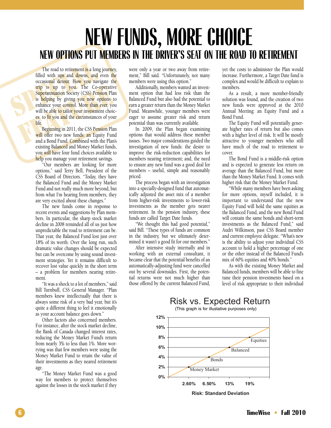### **NEW FUNDS, MORE CHOICE NEW OPTIONS PUT MEMBERS IN THE DRIVER'S SEAT ON THE ROAD TO RETIREMENT**

The road to retirement is a long<br>filled with ups and downs, and<br>occasional detour. How you have<br>trip is up to you. The Co-<br>Superannuation Society (CSS) Pen<br>is helping by giving you new o<br>enhance your control. More than<br>wil **FEATURE 1918 FEATURE 1919 FEATURE 1919 FEATURE 1919 FEATURE 1919 FEATURE 1919 FEATURE 1919 FEATURE 1919 FEATURE 1919 FEATURE 1919 FEATURE 1919 FEATURE 1919 FEATURE 1920 FEATURE 1920 FEATURE 192** The road to retirement is a long journey, filled with ups and downs, and even the occasional detour. How you navigate the trip is up to you. The Co-operative Superannuation Society (CSS) Pension Plan is helping by giving you new options to enhance your control. More than ever, you will be able to tailor your investment choices to fit you and the circumstances of your life.

Beginning in 2011, the CSS Pension Plan will offer two new funds: an Equity Fund and a Bond Fund. Combined with the Plan's existing Balanced and Money Market funds, you will have four fund choices available to help you manage your retirement savings.

"Our members are looking for more options," said Terry Bell, President of the CSS Board of Directors. "Today, they have the Balanced Fund and the Money Market Fund and not really much more beyond, but from what I'm hearing from members, they are very excited about these changes."

The new funds come in response to recent events and suggestions by Plan members. In particular, the sharp stock market decline in 2008 reminded all of us just how unpredictable the road to retirement can be. That year, the Balanced Fund lost just over 18% of its worth. Over the long run, such dramatic value changes should be expected but can be overcome by using sound investment strategies. Yet it remains difficult to recover lost value quickly in the short term – a problem for members nearing retirement.

"It was a shock to a lot of members," said Bill Turnbull, CSS General Manager. "Plan members knew intellectually that there is always some risk of a very bad year, but it's quite a different thing to feel it emotionally as your account balance goes down."

Other factors also concerned members. For instance, after the stock market decline, the Bank of Canada changed interest rates, reducing the Money Market Fund's return from nearly 3% to less than 1%. More worrying was that few members were using the Money Market Fund to retain the value of their investments as they neared retirement age.

"The Money Market Fund was a good way for members to protect themselves against the losses in the stock market if they

were only a year or two away from retirement," Bill said. "Unfortunately, not many members were using this option."

Additionally, members wanted an investment option that had less risk than the Balanced Fund but also had the potential to earn a greater return than the Money Market Fund. Meanwhile, younger members were eager to assume greater risk and return potential than was currently available.

In 2009, the Plan began examining options that would address these member issues. Two major considerations guided the investigation of new funds: the desire to improve the risk-reduction capabilities for members nearing retirement; and, the need to ensure any new fund was a good deal for members – useful, simple and reasonably priced.

The process began with an investigation into a specially-designed fund that automatically adjusted the asset mix of a member from higher-risk investments to lower-risk investments as the member gets nearer retirement. In the pension industry, these funds are called Target Date funds.

"We thought this had good potential," said Bill. "These types of funds are common in the industry, but we ultimately determined it wasn't a good fit for our members."

After intensive study internally and in working with an external consultant, it became clear that the potential benefits of an automatically-adjusting fund were cancelled out by several downsides. First, the potential returns were not much higher than those offered by the current Balanced Fund, yet the costs to administer the Plan would increase. Furthermore, a Target Date fund is complex and would be difficult to explain to members.

As a result, a more member-friendly solution was found, and the creation of two new funds were approved at the 2010 Annual Meeting: an Equity Fund and a Bond Fund.

The Equity Fund will potentially generate higher rates of return but also comes with a higher level of risk. It will be mostly attractive to younger members who still have much of the road to retirement to cover.

The Bond Fund is a middle-risk option and is expected to generate less return on average than the Balanced Fund, but more than the Money Market Fund. It comes with higher risk that the Money Market Fund.

"While many members have been asking for more options, myself included, it is important to understand that the new Equity Fund will hold the same equities as the Balanced Fund, and the new Bond Fund will contain the same bonds and short-term investments as the Balanced Fund," said Audri Wilkinson, past CSS Board member and current employee delegate. "What's new is the ability to adjust your individual CSS account to hold a higher percentage of one or the other instead of the Balanced Fund's mix of 60% equities and 40% bonds."

As with the existing Money Market and Balanced funds, members will be able to fine tune their pension investments based on a level of risk appropriate to their individual



Risk vs. Expected Return

**Risk: Standard Deviation**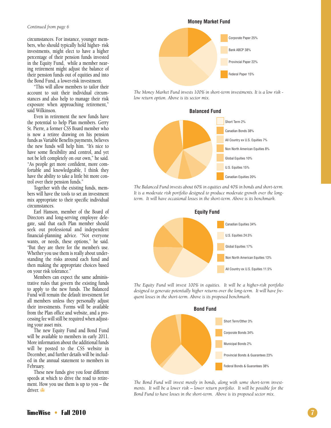#### *Continued from page 6*

circumstances. For instance, younger members, who should typically hold higher- risk investments, might elect to have a higher percentage of their pension funds invested in the Equity Fund, while a member nearing retirement might adjust the balance of their pension funds out of equities and into the Bond Fund, a lower-risk investment.

"This will allow members to tailor their account to suit their individual circumstances and also help to manage their risk exposure when approaching retirement," said Wilkinson.

Even in retirement the new funds have the potential to help Plan members. Gerry St. Pierre, a former CSS Board member who is now a retiree drawing on his pension funds as Variable Benefits payments, believes the new funds will help him. "It's nice to have some flexibility and control, and yet not be left completely on our own," he said. "As people get more confident, more comfortable and knowledgeable, I think they have the ability to take a little bit more control over their pension funds."

Together with the existing funds, members will have the tools to set an investment mix appropriate to their specific individual circumstances.

Earl Hanson, member of the Board of Directors and long-serving employee delegate, said that each Plan member should seek out professional and independent financial-planning advice. "Not everyone wants, or needs, these options," he said. "But they are there for the member's use. Whether you use them is really about understanding the risks around each fund and then making the appropriate choices based on your risk tolerance."

Members can expect the same administrative rules that govern the existing funds to apply to the new funds. The Balanced Fund will remain the default investment for all members unless they personally adjust their investments. Forms will be available from the Plan office and website, and a processing fee will still be required when adjusting your asset mix.

The new Equity Fund and Bond Fund will be available to members in early 2011. More information about the additional funds will be posted to the CSS website in December, and further details will be included in the annual statement to members in February.

These new funds give you four different speeds at which to drive the road to retirement. How you use them is up to you – the driver.



*The Money Market Fund invests 100% in short-term investments. It is a low risk low return option. Above is its sector mix.*



*The Balanced Fund invests about 60% in equities and 40% in bonds and short-term. It is a moderate risk portfolio designed to produce moderate growth over the longterm. It will have occasional losses in the short-term. Above is its benchmark.*



*The Equity Fund will invest 100% in equities. It will be a higher-risk portfolio designed to generate potentially higher returns over the long-term. It will have frequent losses in the short-term. Above is its proposed benchmark.*



*The Bond Fund will invest mostly in bonds, along with some short-term investments. It will be a lower risk – lower return portfolio. It will be possible for the Bond Fund to have losses in the short-term. Above is its proposed sector mix.*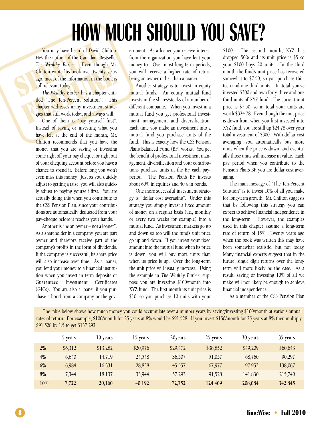## **HOW MUCH SHOULD YOU SAVE?**

**SPECIES 1989**<br>
You may have heard of David (He's the author of the Canadian Be<br>
The Wealthy Barber. Even thou<br>
Chilton wrote his book over twent<br>
ago, most of the information in the<br>
still relevant today.<br>
The Wealthy Bar You may have heard of David Chilton. He's the author of the Canadian Bestseller *The Wealthy Barber*. Even though Mr. Chilton wrote his book over twenty years ago, most of the information in the book is still relevant today.

**FREE Wealthy Burber.** Liven though Mr.<br> **Chilton wrote his book over twenty years**<br>
ago, most of the information in the book is<br>
still relevant today.<br>
The Wealthy Barber has a chapter enti-<br>
tled "The Ten-Percent Solutio *The Wealthy Barber* has a chapter entitled "The Ten-Percent Solution". This chapter addresses many investment strategies that still work today, and always will.

One of them is "pay yourself first". Instead of saving or investing what you have left at the end of the month, Mr. Chilton recommends that you have the money that you are saving or investing come right off your pay cheque, or right out of your chequing account before you have a chance to spend it. Before long you won't even miss this money. Just as you quickly adjust to getting a raise, you will also quickly adjust to paying yourself first. You are actually doing this when you contribute to the CSS Pension Plan, since your contributions are automatically deducted from your pay-cheque before it reaches your hands.

Another is "be an owner – not a loaner". As a shareholder in a company, you are part owner and therefore receive part of the company's profits in the form of dividends. If the company is successful, its share price will also increase over time. As a loaner, you lend your money to a financial institution when you invest in term deposits or Guaranteed Investment Certificates (GICs). You are also a loaner if you purchase a bond from a company or the government. As a loaner you receive interest from the organization you have lent your money to. Over most long-term periods, you will receive a higher rate of return being an owner rather than a loaner.

Another strategy is to invest in equity mutual funds. An equity mutual fund invests in the shares/stocks of a number of different companies. When you invest in a mutual fund you get professional investment management and diversification. Each time you make an investment into a mutual fund you purchase units of the fund. This is exactly how the CSS Pension Plan's Balanced Fund (BF) works. You get the benefit of professional investment management, diversification and your contributions purchase units in the BF each payperiod. The Pension Plan's BF invests about 60% in equities and 40% in bonds.

One more successful investment strategy is "dollar cost averaging". Under this strategy you simply invest a fixed amount of money on a regular basis (i.e., monthly or every two weeks for example) into a mutual fund. As investment markets go up and down so too will the fund's unit price go up and down. If you invest your fixed amount into the mutual fund when its price is down, you will buy more units than when its price is up. Over the long-term the unit price will usually increase. Using the example in *The Wealthy Barber*, suppose you are investing \$100/month into XYZ fund. The first month its unit price is \$10, so you purchase 10 units with your

\$100. The second month, XYZ has dropped 50% and its unit price is \$5 so your \$100 buys 20 units. In the third month the fund's unit price has recovered somewhat to \$7.50, so you purchase thirteen-and-one-third units. In total you've invested \$300 and own forty-three and one third units of XYZ fund. The current unit price is \$7.50, so in total your units are worth \$324.78. Even though the unit price is down from when you first invested into XYZ fund, you are still up \$24.78 over your total investment of \$300. With dollar cost averaging, you automatically buy more units when the price is down, and eventually those units will increase in value. Each pay period when you contribute to the Pension Plan's BF, you are dollar cost averaging.

The main message of "The Ten-Percent Solution" is to invest 10% of all you make for long-term growth. Mr. Chilton suggests that by following this strategy you can expect to achieve financial independence in the long-term. However, the examples used in this chapter assume a long-term rate of return of 15%. Twenty years ago when the book was written this may have been somewhat realistic, but not today. Many financial experts suggest that in the future, single digit returns over the longterm will more likely be the case. As a result, saving or investing 10% of all we make will not likely be enough to achieve financial independence.

As a member of the CSS Pension Plan

The table below shows how much money you could accumulate over a number years by saving/investing \$100/month at various annual rates of return. For example, \$100/month for 25 years at 8% would be \$91,528. If you invest \$150/month for 25 years at 8% then multiply \$91,528 by 1.5 to get \$137,292.

|     | 5 years | 10 years | 15 years | 20years  | 25 years | 30 years | 35 years |
|-----|---------|----------|----------|----------|----------|----------|----------|
| 2%  | \$6,312 | \$13,282 | \$20.976 | \$29,472 | \$38,852 | \$49,209 | \$60,643 |
| 4%  | 6,640   | 14,719   | 24,548   | 36,507   | 51,057   | 68,760   | 90.297   |
| 6%  | 6,984   | 16,331   | 28,838   | 45,557   | 67,977   | 97.953   | 138,067  |
| 8%  | 7,344   | 18,137   | 33,944   | 57,293   | 91,528   | 141,830  | 215,740  |
| 10% | 7,722   | 20,160   | 40,192   | 72,752   | 124,409  | 208,084  | 342,845  |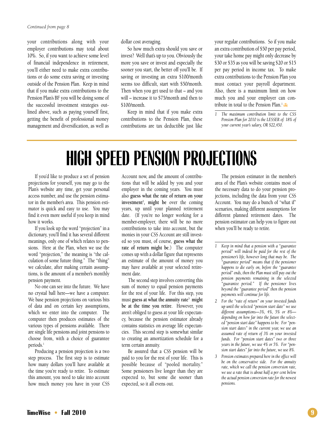your contributions along with your employer contributions may total about 10%. So, if you want to achieve some level of financial independence in retirement, you'll either need to make extra contributions or do some extra saving or investing outside of the Pension Plan. Keep in mind that if you make extra contributions to the Pension Plan's BF you will be doing some of the successful investment strategies outlined above, such as paying yourself first, getting the benefit of professional money management and diversification, as well as

dollar cost averaging.

So how much extra should you save or invest? Well that's up to you. Obviously the more you save or invest and especially the sooner you start, the better off you'll be. If saving or investing an extra \$100/month seems too difficult, start with \$50/month. Then when you get used to that – and you will – increase it to \$75/month and then to \$100/month.

Keep in mind that if you make extra contributions to the Pension Plan, these contributions are tax deductible just like your regular contributions. So if you make an extra contribution of \$50 per pay period, your take home pay might only decrease by \$30 or \$35 as you will be saving \$20 or \$15 per pay period in income tax. To make extra contributions to the Pension Plan you must contact your payroll department. Also, there is a maximum limit on how much you and your employer can contribute in total to the Pension Plan.<sup>1</sup>

*1 The maximum contribution limit to the CSS Pension Plan for 2010 is the LESSER of: 18% of your current year's salary, OR \$22,450.*

## **HIGH SPEED PENSION PROJECTIONS**

If you'd like to produce a set of pension projections for yourself, you may go to the Plan's website any time, get your personal access number, and use the pension estimator in the member's area. This pension estimator is quick and easy to use. You may find it even more useful if you keep in mind how it works.

If you look up the word "projection" in a dictionary, you'll find it has several different meanings, only one of which relates to pensions. Here at the Plan, when we use the word "projection," the meaning is "the calculation of some future thing." The "thing" we calculate, after making certain assumptions, is the amount of a member's monthly pension payment.

No one can see into the future. We have no crystal ball here—we have a computer. We base pension projections on various bits of data and on certain key assumptions, which we enter into the computer. The computer then produces estimates of the various types of pensions available. There are single life pensions and joint pensions to choose from, with a choice of guarantee periods.<sup>1</sup>

Producing a pension projection is a two step process. The first step is to estimate how many dollars you'll have available at the time you're ready to retire. To estimate this amount, you need to take into account how much money you have in your CSS Account now, and the amount of contributions that will be added by you and your employer in the coming years. You must also **guess what the rate of return on your investment2 , might be** over the coming years, up until your planned retirement date. (If you're no longer working for a member-employer, there will be no more contributions to take into account, but the monies in your CSS Account are still invested so you must, of course, **guess what the rate of return might be**.) The computer comes up with a dollar figure that represents an estimate of the amount of money you may have available at your selected retirement date.

The second step involves converting this sum of money to equal pension payments for the rest of your life. For this step, you must **guess at what the annuity rate3 might be at the time you retire**. However, you aren't obliged to guess at your life expectancy, because the pension estimator already contains statistics on average life expectancies. This second step is somewhat similar to creating an amortization schedule for a term certain annuity.

Be assured that a CSS pension will be paid to you for the rest of your life. This is possible because of "pooled mortality." Some pensioners live longer than they are expected to, but some die sooner than expected, so it all evens out.

The pension estimator in the member's area of the Plan's website contains most of the necessary data to do your pension projections, including the data from your CSS Account. You may do a bunch of "what if" scenarios, making different assumptions for different planned retirement dates. The pension estimator can help you to figure out when you'll be ready to retire.

- *1 Keep in mind that a pension with a "guarantee period" will indeed be paid for the rest of the pensioner's life, however long that may be. The "guarantee period" means that if the pensioner happens to die early on, before the "guarantee period" ends, then the Plan must still pay out the pension payments remaining in the selected "guarantee period." If the pensioner lives beyond the "guarantee period" then the pension payments will continue for life.*
- *2 For the "rate of return" on your invested funds up until the selected "pension start date" we use different assumptions—3%, 4%, 5% or 8% depending on how far into the future the selected "pension start date" happens to be. For "pension start dates" in the current year, we use an assumed rate of return of 3% on your invested funds. For "pension start dates" two or three years in the future, we use 4% or 5%. For "pension start dates" far into the future, we use 8%.*
- *3 Pension estimates prepared here in the office will be on the conservative side. For the annuity rate, which we call the pension conversion rate, we use a rate that is about half a per cent below the actual pension conversion rate for the newest pensions.*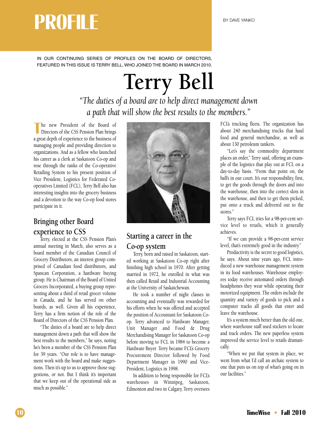## **BY DAVE YANKO**

IN OUR CONTINUING SERIES OF PROFILES ON THE BOARD OF DIRECTORS, FEATURED IN THIS ISSUE IS TERRY BELL, WHO JOINED THE BOARD IN MARCH 2010.

## **Terry Bell**

*"The duties of a board are to help direct management down a path that will show the best results to the members."*

**T** he new President of the Board of Directors of the CSS Pension Plan brings a great depth of experience to the business of managing people and providing direction to organizations. And as a fellow who launched his career as a clerk at Saskatoon Co-op and rose through the ranks of the Co-operative Retailing System to his present position of Vice President, Logistics for Federated Cooperatives Limited (FCL), Terry Bell also has interesting insights into the grocery business and a devotion to the way Co-op food stores participate in it.

### **Bringing other Board experience to CSS**

Terry, elected at the CSS Pension Plan's annual meeting in March, also serves as a board member of the Canadian Council of Grocery Distributors, an interest group comprised of Canadian food distributors, and Spancan Corporation, a hardware buying group. He is Chairman of the Board of United Grocers Incorporated, a buying group representing about a third of retail grocer volume in Canada, and he has served on other boards, as well. Given all his experience, Terry has a firm notion of the role of the Board of Directors of the CSS Pension Plan.

"The duties of a board are to help direct management down a path that will show the best results to the members,'' he says, noting he's been a member of the CSS Pension Plan for 39 years. "Our role is to have management work with the board and make suggestions. Then it's up to us to approve those suggestions, or not. But I think it's important that we keep out of the operational side as much as possible.''



### **Starting a career in the Co-op system**

Terry, born and raised in Saskatoon, started working at Saskatoon Co-op right after finishing high school in 1970. After getting married in 1972, he enrolled in what was then called Retail and Industrial Accounting at the University of Saskatchewan.

He took a number of night classes in accounting and eventually was rewarded for his efforts when he was offered and accepted the position of Accountant for Saskatoon Coop. Terry advanced to Hardware Manager, Unit Manager and Food & Drug Merchandising Manager for Saskatoon Co-op before moving to FCL in 1984 to become a Hardware Buyer. Terry became FCL's Grocery Procurement Director followed by Food Department Manager in 1990 and Vice-President, Logistics in 1998.

In addition to being responsible for FCL's warehouses in Winnipeg, Saskatoon, Edmonton and two in Calgary, Terry oversees

FCL's trucking fleets. The organization has about 240 merchandising trucks that haul food and general merchandise, as well as about 130 petroleum tankers.

"Let's say the commodity department places an order,'' Terry said, offering an example of the logistics that play out at FCL on a day-to-day basis. "From that point on, the ball's in our court. It's our responsibility, first, to get the goods through the doors and into the warehouse, then into the correct slots in the warehouse, and then to get them picked, put onto a truck and delivered out to the stores.''

Terry says FCL tries for a 98-per-cent service level to retails, which it generally achieves.

"If we can provide a 98-per-cent service level, that's extremely good in the industry.''

Productivity is the secret to good logistics, he says. About nine years ago, FCL introduced a new warehouse management system in its food warehouses. Warehouse employees today receive automated orders through headphones they wear while operating their motorized equipment. The orders include the quantity and variety of goods to pick and a computer tracks all goods that enter and leave the warehouse.

It's a system much better than the old one, where warehouse staff used stickers to locate and track orders. The new paperless system improved the service level to retails dramatically.

"When we put that system in place, we went from what I'd call an archaic system to one that puts us on top of what's going on in our facilities.''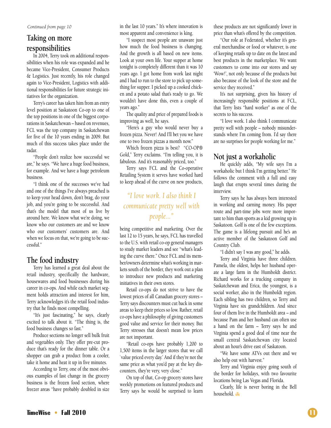*Continued from page 10*

### **Taking on more responsibilities**

In 2004, Terry took on additional responsibilities when his role was expanded and he became Vice-President, Consumer Products & Logistics. Just recently, his role changed again to Vice-President, Logistics with additional responsibilities for future strategic initiatives for the organization.

Terry's career has taken him from an entry level position at Saskatoon Co-op to one of the top positions in one of the biggest corporations in Saskatchewan – based on revenues, FCL was the top company in Saskatchewan for five of the 10 years ending in 2009. But much of this success takes place under the radar.

"People don't realize how successful we are,'' he says. "We have a huge food business, for example. And we have a huge petroleum business.

"I think one of the successes we've had and one of the things I've always preached is to keep your head down, don't brag, do your job, and you're going to be successful. And that's the model that most of us live by around here. We know what we're doing, we know who our customers are and we know who our customers' customers are. And when we focus on that, we're going to be successful.''

### **The food industry**

Terry has learned a great deal about the retail industry, specifically the hardware, housewares and food businesses during his career in co-ops. And while each market segment holds attraction and interest for him, Terry acknowledges it's the retail food industry that he finds most compelling.

"It's just fascinating,'' he says, clearly excited to talk about it. "The thing is, the food business changes so fast.''

Produce sections no longer sell bulk fruit and vegetables only. They offer pre-cut produce that's ready for the dinner table. Or a shopper can grab a product from a cooler, take it home and heat it up in five minutes.

According to Terry, one of the most obvious examples of fast change in the grocery business is the frozen food section, where freezer areas "have probably doubled in size

in the last 10 years.'' It's where innovation is most apparent and convenience is king.

"I suspect most people are unaware just how much the food business is changing. And the growth is all based on new items. Look at your own life. Your supper at home tonight is completely different than it was 10 years ago. I got home from work last night and I had to run to the store to pick up something for supper. I picked up a cooked chicken and a potato salad that's ready to go. We wouldn't have done this, even a couple of years ago.''

The quality and price of prepared foods is improving as well, he says.

"Here's a guy who would never buy a frozen pizza. Never! And I'll bet you we have one to two frozen pizzas a month now.''

Which frozen pizza is best? "CO-OP® Gold,'' Terry exclaims. "I'm telling you, it is fabulous. And it's reasonably priced, too.''

Terry says FCL and the Co-operative Retailing System it serves have worked hard to keep ahead of the curve on new products,

### *"I love work. I also think I communicate pretty well with people..."*

being competitive and marketing. Over the last 12 to 15 years, he says, FCL has travelled to the U.S. with retail co-op general managers to study market leaders and see "what's leading the curve there.'' Once FCL and its member/owners determine what's working in markets south of the border, they work out a plan to introduce new products and marketing initiatives in their own stores.

Retail co-ops do not strive to have the lowest prices of all Canadian grocery stores – Terry says discounters must cut back in some areas to keep their prices so low. Rather, retail co-ops have a philosophy of giving customers good value and service for their money. But Terry stresses that doesn't mean low prices are not important.

"Retail co-ops have probably 1,200 to 1,500 items in the larger stores that we call `value priced every day.' And if they're not the same price as what you'd pay at the key discounters, they're very, very close.''

On top of that, Co-op grocery stores have weekly promotions on featured products and Terry says he would be surprised to learn

these products are not significantly lower in price than what's offered by the competition.

"Our role at Federated, whether it's general merchandise or food or whatever, is one of keeping retails up to date on the latest and best products in the marketplace. We want customers to come into our stores and say 'Wow!', not only because of the products but also because of the look of the store and the service they received.''

It's not surprising, given his history of increasingly responsible positions at FCL, that Terry lists "hard worker'' as one of the secrets to his success.

"I love work. I also think I communicate pretty well with people – nobody misunderstands where I'm coming from. I'd say there are no surprises for people working for me.''

### **Not just a workaholic**

He quickly adds, "My wife says I'm a workaholic but I think I'm getting better.'' He follows the comment with a full and easy laugh that erupts several times during the interview.

Terry says he has always been interested in working and earning money. His paper route and part-time jobs were more important to him than sports as a kid growing up in Saskatoon. Golf is one of the few exceptions. The game is a lifelong pursuit and he's an active member of the Saskatoon Golf and Country Club.

"I didn't say I was any good,'' he adds.

Terry and Virginia have three children. Pamela, the oldest, helps her husband operate a large farm in the Humboldt district. Richard works for a trucking company in Saskatchewan and Erica, the youngest, is a social worker, also in the Humboldt region. Each sibling has two children, so Terry and Virginia have six grandchildren. And since four of them live in the Humboldt area – and because Pam and her husband can often use a hand on the farm – Terry says he and Virginia spend a good deal of time near the small central Saskatchewan city located about an hour's drive east of Saskatoon.

"We have some ATVs out there and we also help out with harvest.''

Terry and Virginia enjoy going south of the border for holidays, with two favourite locations being Las Vegas and Florida.

Clearly, life is never boring in the Bell household.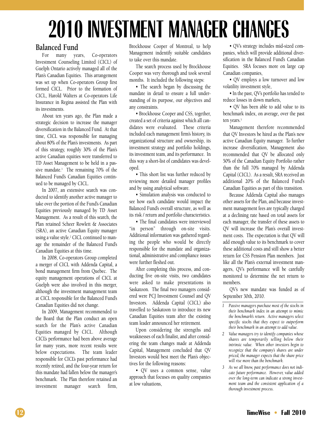## **2010 INVESTMENT MANAGER CHANGES**

### **Balanced Fund**

For many years, Co-operators Investment Counseling Limited (CICL) of Guelph Ontario actively managed all of the Plan's Canadian Equities. This arrangement was set up when Co-operators Group first formed CICL. Prior to the formation of CICL, Harold Walters at Co-operators Life Insurance in Regina assisted the Plan with its investments.

About ten years ago, the Plan made a strategic decision to increase the manager diversification in the Balanced Fund. At that time, CICL was responsible for managing about 80% of the Plan's investments. As part of this strategy, roughly 30% of the Plan's active Canadian equities were transferred to TD Asset Management to be held in a passive mandate.<sup>1</sup> The remaining 70% of the Balanced Fund's Canadian Equities continued to be managed by CICL.

In 2007, an extensive search was conducted to identify another active manager to take over the portion of the Fund's Canadian Equities previously managed by TD Asset Management. As a result of this search, the Plan retained Scheer Rowlett & Associates (SRA), an active Canadian Equity manager using a value style.<sup>2</sup> CICL continued to manage the remainder of the Balanced Fund's Canadian Equities at this time.

In 2008, Co-operators Group completed a merger of CICL with Addenda Capital, a bond management firm from Quebec. The equity management operations of CICL at Guelph were also involved in this merger, although the investment management team at CICL responsible for the Balanced Fund's Canadian Equities did not change.

In 2009, Management recommended to the Board that the Plan conduct an open search for the Plan's active Canadian Equities managed by CICL. Although CICL's performance had been above average for many years, more recent results were below expectations. The team leader responsible for CICL's past performance had recently retired, and the four-year return for this mandate had fallen below the manager's benchmark. The Plan therefore retained an investment manager search firm, Brockhouse Cooper of Montreal, to help Management indentify suitable candidates to take over this mandate.

The search process used by Brockhouse Cooper was very thorough and took several months. It included the following steps:

• The search began by discussing the mandate in detail to ensure a full understanding of its purpose, our objectives and any constraints.

• Brockhouse Cooper and CSS, together, created a set of criteria against which all candidates were evaluated. These criteria included each management firm's history, its organizational structure and ownership, its investment strategy and portfolio holdings, its investment team, and its performance. In this way a short-list of candidates was developed.

• This short list was further reduced by reviewing more detailed manager profiles and by using analytical software.

• Simulation analysis was conducted to see how each candidate would impact the Balanced Fund's overall structure, as well as its risk / return and portfolio characteristics.

• The final candidates were interviewed "in person" through on-site visits. Additional information was gathered regarding the people who would be directly responsible for the mandate and organizational, administrative and compliance issues were further fleshed out.

After completing this process, and conducting five on-site visits, two candidates were asked to make presentations in Saskatoon. The final two managers considered were PCJ Investment Counsel and QV Investors. Addenda Capital (CICL) also travelled to Saskatoon to introduce its new Canadian Equities team after the existing team leader announced her retirement.

Upon considering the strengths and weaknesses of each finalist, and after considering the team changes made at Addenda Capital, Management concluded that QV Investors would best meet the Plan's objectives for the following reasons:

• QV uses a common sense, value approach that focuses on quality companies at low valuations,

• QV's strategy includes mid-sized companies, which will provide additional diversification in the Balanced Fund's Canadian Equities. SRA focuses more on large cap Canadian companies,

• QV employs a low turnover and low volatility investment style,

• In the past, QV's portfolio has tended to reduce losses in down markets,

• QV has been able to add value to its benchmark index, on average, over the past ten years.<sup>3</sup>

Management therefore recommended that QV Investors be hired as the Plan's new active Canadian Equity manager. To further increase diversification, Management also recommended that QV be allocated only 50% of the Canadian Equity Portfolio rather than the full 70% managed by Addenda Capital (CICL). As a result, SRA received an additional 20% of the Balanced Fund's Canadian Equities as part of this transition.

Because Addenda Capital also manages other assets for the Plan, and because investment management fees are typically charged at a declining rate based on total assets for each manager, the transfer of these assets to QV will increase the Plan's overall investment costs. The expectation is that QV will add enough value to its benchmark to cover these additional costs and still show a better return for CSS Pension Plan members. Just like all the Plan's external investment managers, QV's performance will be carefully monitored to determine the net return to members.

QV's new mandate was funded as of September 30th, 2010.

- *2 Value managers try to identify companies whose shares are temporarily selling below their intrinsic value. When other investors begin to recognize that the company's shares are under priced, the manager expects that the share price will rise more than the benchmark.*
- *3 As we all know, past performance does not indicate future performance. However, value added over the long-term can indicate a strong investment team and the consistent application of a thorough investment process.*

*<sup>1</sup> Passive managers purchase most of the stocks in their benchmark index in an attempt to mimic the benchmark's return. Active managers select specific stocks that they expect to outperform their benchmark in an attempt to add value.*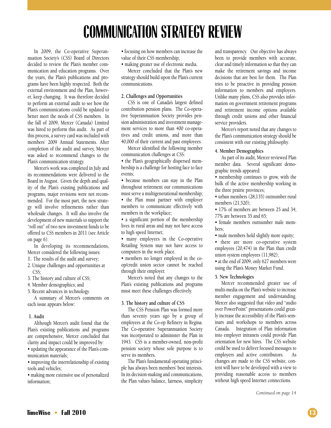## **COMMUNICATION STRATEGY REVIEW**

In 2009, the Co-operative Superannuation Society's (CSS) Board of Directors decided to review the Plan's member communication and education programs. Over the years, the Plan's publications and programs have been highly respected. Both the external environment and the Plan, however, keep changing. It was therefore decided to perform an external audit to see how the Plan's communications could be updated to better meet the needs of CSS members. In the fall of 2009, Mercer (Canada) Limited was hired to perform this audit. As part of this process, a survey card was included with members' 2009 Annual Statements. After completion of the audit and survey, Mercer was asked to recommend changes to the Plan's communication strategy.

Mercer's work was completed in July and its recommendations were delivered to the Board in August. Given the depth and quality of the Plan's existing publications and programs, major revisions were not recommended. For the most part, the new strategy will involve refinements rather than wholesale changes. It will also involve the development of new materials to support the "roll out" of two new investment funds to be offered to CSS members in 2011 (see Article on page 6).

In developing its recommendations, Mercer considered the following issues:

1. The results of the audit and survey;

2. Unique challenges and opportunities at CSS;

3. The history and culture of CSS;

4. Member demographics; and

5. Recent advances in technology.

A summary of Mercer's comments on each issue appears below:

#### **1. Audit**

Although Mercer's audit found that the Plan's existing publications and programs are comprehensive, Mercer concluded that clarity and impact could be improved by:

• updating the appearance of the Plan's communication materials;

• improving the interrelationship of existing tools and vehicles;

• making more extensive use of personalized information;

• focusing on how members can increase the value of their CSS membership;

• making greater use of electronic media.

Mercer concluded that the Plan's new strategy should build upon the Plan's current communications.

#### **2. Challenges and Opportunities**

CSS is one of Canada's largest defined contribution pension plans. The Co-operative Superannuation Society provides pension administration and investment management services to more than 400 co-operatives and credit unions, and more than 40,000 of their current and past employees.

Mercer identified the following member communication challenges at CSS:

• the Plan's geographically dispersed membership is a challenge for hosting face to face events;

• because members can stay in the Plan throughout retirement our communications must serve a multigenerational membership;

• the Plan must partner with employer members to communicate effectively with members in the workplace;

• a significant portion of the membership lives in rural areas and may not have access to high speed Internet;

• many employees in the Co-operative Retailing System may not have access to computers in the work place.

• members no longer employed in the coop/credit union sector cannot be reached through their employer.

Mercer's noted that any changes to the Plan's existing publications and programs must meet these challenges effectively.

#### **3. The history and culture of CSS**

The CSS Pension Plan was formed more than seventy years ago by a group of employees at the Co-op Refinery in Regina. The Co-operative Superannuation Society was incorporated to administer the Plan in 1943. CSS is a member-owned, non-profit pension society whose sole purpose is to serve its members.

The Plan's fundamental operating principle has always been members' best interests. In its decision-making and communications, the Plan values balance, fairness, simplicity and transparency. Our objective has always been to provide members with accurate, clear and timely information so that they can make the retirement savings and income decisions that are best for them. The Plan tries to be proactive in providing pension information to members and employers. Unlike many plans, CSS also provides information on government retirement programs and retirement income options available through credit unions and other financial service providers.

Mercer's report noted that any changes to the Plan's communication strategy should be consistent with our existing philosophy.

#### **4. Member Demographics**

As part of its audit, Mercer reviewed Plan member data. Several significant demographic trends appeared:

• membership continues to grow, with the bulk of the active membership working in the three prairie provinces;

• urban members (28,135) outnumber rural members (21,520);

• 17% of members are between 25 and 34; 77% are between 35 and 65;

• female members outnumber male members;

• male members hold slightly more equity;

• there are more co-operative system employees (20,474) in the Plan than credit union system employees (11,982);

• at the end of 2009, only 627 members were using the Plan's Money Market Fund.

#### **5. New Technologies**

Mercer recommended greater use of multi-media on the Plan's website to increase member engagement and understanding. Mercer also suggested that video and "audio over PowerPoint" presentations could greatly increase the accessibility of the Plan's seminars and workshops to members across Canada. Integration of Plan information into employer intranets could provide Plan orientation for new hires. The CSS website could be used to deliver focused messages to employers and active contributors. As changes are made to the CSS website, content will have to be developed with a view to providing reasonable access to members without high speed Internet connections.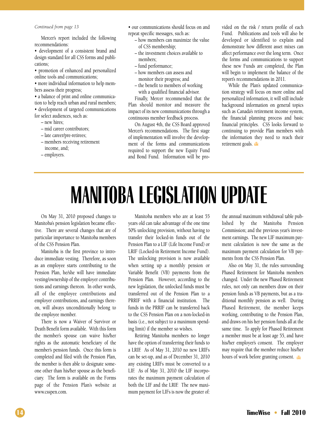#### *Continued from page 13*

Mercer's report included the following recommendations:

• development of a consistent brand and design standard for all CSS forms and publications;

• promotion of enhanced and personalized online tools and communications;

• more individual information to help members assess their progress;

• a balance of print and online communication to help reach urban and rural members; • development of targeted communications

for select audiences, such as: – new hires;

- mid career contributors;
- 
- late career/pre-retirees;
- members receiving retirement income, and;
- employers.
- our communications should focus on and repeat specific messages, such as:
	- how members can maximize the value of CSS membership;
	- the investment choices available to members;
	- fund performance;
	- how members can assess and monitor their progress; and
	- the benefit to members of working with a qualified financial advisor.

Finally, Mercer recommended that the Plan should monitor and measure the impact of its new communications through a continuous member feedback process.

On August 4th, the CSS Board approved Mercer's recommendations. The first stage of implementation will involve the development of the forms and communications required to support the new Equity Fund and Bond Fund. Information will be provided on the risk / return profile of each Fund. Publications and tools will also be developed or identified to explain and demonstrate how different asset mixes can affect performance over the long term. Once the forms and communications to support these new Funds are completed, the Plan will begin to implement the balance of the report's recommendations in 2011.

While the Plan's updated communication strategy will focus on more online and personalized information, it will still include background information on general topics such as Canada's retirement income system, the financial planning process and basic financial principles. CSS looks forward to continuing to provide Plan members with the information they need to reach their retirement goals.

## **MANITOBA LEGISLATION UPDATE**

On May 31, 2010 proposed changes to Manitoba's pension legislation became effective. There are several changes that are of particular importance to Manitoba members of the CSS Pension Plan.

Manitoba is the first province to introduce immediate vesting. Therefore, as soon as an employee starts contributing to the Pension Plan, he/she will have immediate vesting/ownership of the employer contributions and earnings thereon. In other words, all of the employee contributions and employer contributions, and earnings thereon, will always unconditionally belong to the employee member.

There is now a Waiver of Survivor or Death Benefit form available. With this form the member's spouse can waive his/her rights as the automatic beneficiary of the member's pension funds. Once this form is completed and filed with the Pension Plan, the member is then able to designate someone other than his/her spouse as the beneficiary. The form is available on the Forms page of the Pension Plan's website at www.csspen.com.

Manitoba members who are at least 55 years old can take advantage of the one time 50% unlocking provision, without having to transfer their locked-in funds out of the Pension Plan to a LIF (Life Income Fund) or LRIF (Locked-in Retirement Income Fund). The unlocking provision is now available when setting up a monthly pension or Variable Benefit (VB) payments from the Pension Plan. However, according to the new legislation, the unlocked funds must be transferred out of the Pension Plan to a PRRIF with a financial institution. The funds in the PRRIF can be transferred back to the CSS Pension Plan on a non-locked-in basis (i.e., not subject to a maximum spending limit) if the member so wishes.

Retiring Manitoba members no longer have the option of transferring their funds to a LRIF. As of May 31, 2010 no new LRIFs can be set-up, and as of December 31, 2010 any existing LRIFs must be converted to a LIF. As of May 31, 2010 the LIF incorporates the maximum payment calculation of both the LIF and the LRIF. The new maximum payment for LIFs is now the greater of:

the annual maximum withdrawal table published by the Manitoba Pension Commission; and the previous year's investment earnings. The new LIF maximum payment calculation is now the same as the maximum payment calculation for VB payments from the CSS Pension Plan.

Also on May 31, the rules surrounding Phased Retirement for Manitoba members changed. Under the new Phased Retirement rules, not only can members draw on their pension funds as VB payments, but as a traditional monthly pension as well. During Phased Retirement, the member keeps working, contributing to the Pension Plan, and draws on his her pension funds all at the same time. To apply for Phased Retirement a member must be at least age 55, and have his/her employer's consent. The employer may require that the member reduce his/her hours of work before granting consent.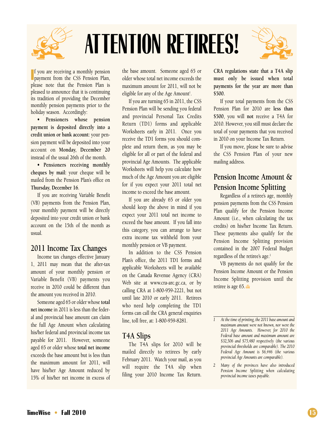

# **ATTENTION RETIREES!**



**I** f you are receiving a monthly pension **payment from the CSS Pension Plan,** please note that the Pension Plan is pleased to announce that it is continuing its tradition of providing the December monthly pension payments prior to the holiday season. Accordingly:

**• Pensioners whose pension payment is deposited directly into a credit union or bank account:** your pension payment will be deposited into your account on **Monday, December 20** instead of the usual 26th of the month.

**• Pensioners receiving monthly cheques by mail:** your cheque will be mailed from the Pension Plan's office on **Thursday, December 16**.

If you are receiving Variable Benefit (VB) payments from the Pension Plan, your monthly payment will be directly deposited into your credit union or bank account on the 15th of the month as usual.

### **2011 Income Tax Changes**

Income tax changes effective January 1, 2011 may mean that the after-tax amount of your monthly pension or Variable Benefit (VB) payments you receive in 2010 could be different than the amount you received in 2010.

Someone aged 65 or older whose **total net income** in 2011 is less than the federal and provincial base amount can claim the full Age Amount when calculating his/her federal and provincial income tax payable for 2011. However, someone aged 65 or older whose **total net income** exceeds the base amount but is less than the maximum amount for 2011, will have his/her Age Amount reduced by 15% of his/her net income in excess of the base amount. Someone aged 65 or older whose total net income exceeds the maximum amount for 2011, will not be eligible for any of the Age Amount<sup>1</sup>.

If you are turning 65 in 2011, the CSS Pension Plan will be sending you federal and provincial Personal Tax Credits Return (TD1) forms and applicable Worksheets early in 2011. Once you receive the TD1 forms you should complete and return them, as you may be eligible for all or part of the federal and provincial Age Amounts. The applicable Worksheets will help you calculate how much of the Age Amount you are eligible for if you expect your 2011 total net income to exceed the base amount.

If you are already 65 or older you should keep the above in mind if you expect your 2011 total net income to exceed the base amount. If you fall into this category, you can arrange to have extra income tax withheld from your monthly pension or VB payment.

In addition to the CSS Pension Plan's office, the 2011 TD1 forms and applicable Worksheets will be available on the Canada Revenue Agency (CRA) Web site at www.cra-arc.gc.ca, or by calling CRA at 1-800-959-2221, but not until late 2010 or early 2011. Retirees who need help completing the TD1 forms can call the CRA general enquiries line, toll free, at: 1-800-959-8281.

### **T4A Slips**

The T4A slips for 2010 will be mailed directly to retirees by early February 2011. Watch your mail, as you will require the T4A slip when filing your 2010 Income Tax Return.

**CRA regulations state that a T4A slip must only be issued when total payments for the year are more than \$500.**

If your total payments from the CSS Pension Plan for 2010 are **less than \$500**, you will **not** receive a T4A for 2010. However, you still must declare the total of your payments that you received in 2010 on your Income Tax Return.

If you move, please be sure to advise the CSS Pension Plan of your new mailing address.

### **Pension Income Amount & Pension Income Splitting**

Regardless of a retiree's age, monthly pension payments from the CSS Pension Plan qualify for the Pension Income Amount (i.e., when calculating the tax credits) on his/her Income Tax Return. These payments also qualify for the Pension Income Splitting provision contained in the 2007 Federal Budget regardless of the retiree's age.<sup>2</sup>

VB payments do not qualify for the Pension Income Amount or the Pension Income Splitting provision until the retiree is age 65.

*<sup>1</sup> At the time of printing, the 2011 base amount and maximum amount were not known, nor were the 2011 Age Amounts. However, for 2010 the Federal base amount and maximum amount are \$32,506 and \$75,480 respectively (the various provincial thresholds are comparable). The 2010 Federal Age Amount is \$6,446 (the various provincial Age Amounts are comparable).*

*<sup>2</sup> Many of the provinces have also introduced Pension Income Splitting when calculating provincial income taxes payable.*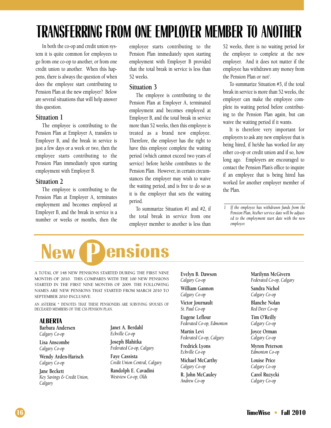## **TRANSFERRING FROM ONE EMPLOYER MEMBER TO ANOTHER**

In both the co-op and credit union system it is quite common for employees to go from one co-op to another, or from one credit union to another. When this happens, there is always the question of when does the employee start contributing to Pension Plan at the new employer? Below are several situations that will help answer this question.

### **Situation 1**

The employee is contributing to the Pension Plan at Employer A, transfers to Employer B, and the break in service is just a few days or a week or two, then the employee starts contributing to the Pension Plan immediately upon starting employment with Employer B.

### **Situation 2**

The employee is contributing to the Pension Plan at Employer A, terminates employment and becomes employed at Employer B, and the break in service is a number or weeks or months, then the employee starts contributing to the Pension Plan immediately upon starting employment with Employer B provided that the total break in service is less than 52 weeks.

### **Situation 3**

The employee is contributing to the Pension Plan at Employer A, terminated employment and becomes employed at Employer B, and the total break in service more than 52 weeks, then this employee is treated as a brand new employee. Therefore, the employer has the right to have this employee complete the waiting period (which cannot exceed two years of service) before he/she contributes to the Pension Plan. However, in certain circumstances the employer may wish to waive the waiting period, and is free to do so as it is the employer that sets the waiting period.

To summarize Situation #1 and #2, if the total break in service from one employer member to another is less than 52 weeks, there is no waiting period for the employee to complete at the new employer. And it does not matter if the employee has withdrawn any money from the Pension Plan or not<sup>1</sup>.

To summarize Situation #3, if the total break in service is more than 52 weeks, the employer can make the employee complete its waiting period before contributing to the Pension Plan again, but can waive the waiting period if it wants.

It is therefore very important for employers to ask any new employee that is being hired, if he/she has worked for any other co-op or credit union and if so, how long ago. Employers are encouraged to contact the Pension Plan's office to inquire if an employee that is being hired has worked for another employer member of the Plan.

*1 If the employee has withdrawn funds from the Pension Plan, his/her service date will be adjusted to the employment start date with the new employer.*



A TOTAL OF 148 NEW PENSIONS STARTED DURING THE FIRST NINE MONTHS OF 2010. THIS COMPARES WITH THE 100 NEW PENSIONS STARTED IN THE FIRST NINE MONTHS OF 2009. THE FOLLOWING NAMES ARE NEW PENSIONS THAT STARTED FROM MARCH 2010 TO SEPTEMBER 2010 INCLUSIVE.

AN ASTERISK \* DENOTES THAT THESE PENSIONERS ARE SURVIVING SPOUSES OF DECEASED MEMBERS OF THE CSS PENSION PLAN.

### **ALBERTA**

**Barbara Andersen** *Calgary Co-op*

**Lisa Anscombe** *Calgary Co-op*

**Wendy Arden-Harisch** *Calgary Co-op*

**Jane Beckett** *Key Savings & Credit Union, Calgary*

**Janet A. Berdahl** *Eckville Co-op*

**Joseph Blahitka** *Federated Co-op, Calgary*

**Faye Cassista** *Credit Union Central, Calgary*

**Randolph E. Cavadini** *Westview Co-op, Olds*

**Evelyn B. Dawson** *Calgary Co-op* **William Gannon** *Calgary Co-op*

**Victor Journault** *St. Paul Co-op*

**Eugene Leflour** *Federated Co-op, Edmonton*

**Martin Levi** *Federated Co-op, Calgary*

**Fredrick Lyons** *Eckville Co-op*

**Michael McCarthy** *Calgary Co-op*

**R. John McCauley** *Andrew Co-op*

**Marilynn McGivern** *Federated Co-op, Calgary* **Sandra Nichol**

*Calgary Co-op*

**Blanche Nolan** *Red Deer Co-op*

**Tim O'Reilly** *Calgary Co-op*

**Joyce Orman** *Calgary Co-op*

**Myron Peterson** *Edmonton Co-op*

**Louise Price** *Calgary Co-op*

**Carol Ruzycki** *Calgary Co-op*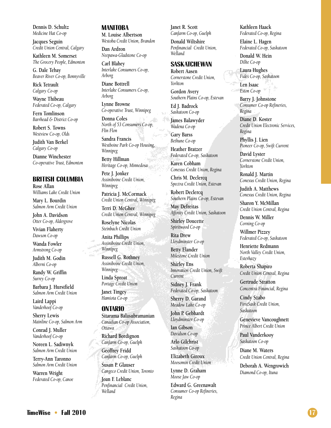**Dennis D. Schultz** *Medicine Hat Co-op*

**Jacques Seguin** *Credit Union Central, Calgary*

**Kathleen M. Somerset** *The Grocery People, Edmonton*

**G. Dale Tebay** *Beaver River Co-op, Bonnyville*

**Rick Tetrault** *Calgary Co-op*

**Wayne Thibeau** *Federated Co-op, Calgary*

**Fern Tomlinson** *Barrhead & District Co-op*

**Robert S. Towns** *Westview Co-op, Olds*

**Judith Van Berkel** *Calgary Co-op*

**Dianne Winchester** *Co-operative Trust, Edmonton*

### **BRITISH COLUMBIA**

**Rose Allan** *Williams Lake Credit Union*

**Mary L. Bourdin** *Salmon Arm Credit Union*

**John A. Davidson** *Otter Co-op, Aldergrove*

**Vivian Flaherty** *Dawson Co-op*

**Wanda Fowler** *Armstrong Co-op*

**Judith M. Godin** *Alberni Co-op*

**Randy W. Griffin** *Surrey Co-op*

**Barbara J. Hurstfield** *Salmon Arm Credit Union*

**Laird Lappi** *Vanderhoof Co-op*

**Sherry Lewis** *Mainline Co-op, Salmon Arm*

**Conrad J. Muller** *Vanderhoof Co-op*

**Noreen L. Sadiwnyk** *Salmon Arm Credit Union*

**Terry-Ann Taronno** *Salmon Arm Credit Union*

**Warren Wright** *Federated Co-op, Canoe*

### **MANITOBA**

**M. Louise Albertson** *Westoba Credit Union, Brandon*

**Dan Ardron** *Neepawa-Gladstone Co-op*

**Carl Blahey** *Interlake Consumers Co-op, Arborg*

**Diane Bottrell** *Interlake Consumers Co-op, Arborg*

**Lynne Browne** *Co-operative Trust, Winnipeg*

**Donna Coles** *North of 53 Consumers Co-op, Flin Flon*

**Sandra Francis** *Westboine Park Co-op Housing, Winnipeg* **Betty Hillman** *Heritage Co-op, Minnedosa*

**Pete J. Jonker** *Assiniboine Credit Union, Winnipeg*

**Patricia J. McCormack** *Credit Union Central, Winnipeg*

**Terri D. McGhee** *Credit Union Central, Winnipeg*

**Roselyne Nicolas** *Steinbach Credit Union*

**Anita Phillips** *Assiniboine Credit Union, Winnipeg*

**Russell G. Rothney** *Assiniboine Credit Union, Winnipeg*

**Linda Sproat** *Portage Credit Union*

**Janet Tingey** *Hamiota Co-op*

#### **ONTARIO**

**Sitarama Balasubramanian** *Canadian Co-op Association, Ottawa*

**Richard Bordignon** *Canfarm Co-op, Guelph*

**Geoffrey Fridd** *Canfarm Co-op, Guelph*

**Susan P. Glauser** *Cangeco Credit Union, Toronto*

**Joan F. Leblanc** *Penfinancial Credit Union, Welland*

**Janet R. Scott** *Canfarm Co-op, Guelph*

**Donald Wiltshire** *Penfinancial Credit Union, Welland*

### **SASKATCHEWAN**

**Robert Aasen** *Cornerstone Credit Union, Yorkton*

**Gordon Avery** *Southern Plains Co-op, Estevan*

**Ed J. Badrock** *Saskatoon Co-op*

**James Balawyder** *Wadena Co-op*

**Gary Barss** *Bethune Co-op*

**Heather Bratzer** *Federated Co-op, Saskatoon*

**Karen Cobham** *Conexus Credit Union, Regina*

**Chris M. Declercq** *Spectra Credit Union, Estevan*

**Robert Declercq** *Southern Plains Co-op, Estevan*

**May Defreitas** *Affinity Credit Union, Saskatoon*

**Shirley Doucette** *Spiritwood Co-op*

**Rita Drew** *Lloydminster Co-op*

**Betty Elander** *Milestone Credit Union*

**Shirley Ens** *Innovation Credit Union, Swift Current*

**Sidney J. Frank** *Federated Co-op, Saskatoon*

**Sherry D. Garand**

*Meadow Lake Co-op* **John P. Gebhardt** *Lloydminster Co-op*

**Ian Gibson** *Davidson Co-op*

**Arlo Gilchrist** *Saskatoon Co-op*

**Elizabeth Giroux** *Moosomin Credit Union*

> **Lynne D. Graham** *Moose Jaw Co-op*

**Edward G. Greenawalt** *Consumer Co-op Refineries, Regina*

**Kathleen Haack** *Federated Co-op, Regina*

**Elaine L. Hagen** *Federated Co-op, Saskatoon*

**Donald W. Hein** *Dilke Co-op*

**Laura Hughes** *Fides Co-op, Saskatoon*

**Len Isaac** *Eston Co-op*

**Barry J. Johnstone** *Consumer Co-op Refineries, Regina*

**Diane D. Koster** *Credit Union Electronic Services, Regina*

**Phyllis J. Lien** *Pioneer Co-op, Swift Current*

**David Lyster** *Cornerstone Credit Union, Yorkton*

**Ronald J. Martin** *Conexus Credit Union, Regina*

**Judith A. Matthews** *Conexus Credit Union, Regina*

**Sharon Y. McMillan** *Credit Union Central, Regina*

**Dennis W. Miller** *Corning Co-op*

**Willmer Pizzey** *Federated Co-op, Saskatoon*

**Henriette Redmann** *North Valley Credit Union, Esterhazy*

**Roberta Shapiro** *Credit Union Central, Regina*

**Gertrude Stratton** *Concentra Financial, Regina*

**Cindy Szabo** *FirstSask Credit Union, Saskatoon*

**Genevieve Vancoughnett** *Prince Albert Credit Union*

**Paul Vanderkooy** *Saskatoon Co-op*

**Diane M. Waters** *Credit Union Central, Regina*

**Deborah A. Wengrowich** *Diamond Co-op, Ituna*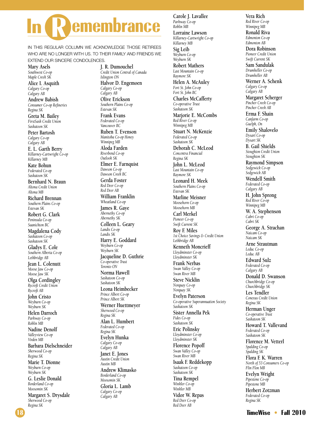# **emembrance**

IN THIS REGULAR COLUMN WE ACKNOWLEDGE THOSE RETIREES WHO ARE NO LONGER WITH US. TO THEIR FAMILY AND FRIENDS WE EXTEND OUR SINCERE CONDOLENCES.

**Mary Asels** *Southwest Co-op Maple Creek SK*

**Alice I. Asquith** *Calgary Co-op Calgary AB*

**Andrew Babish** *Consumer Co-op Refineries Regina SK*

**Greta M. Bailey** *FirstSask Credit Union Saskatoon SK*

**Peter Bartosh** *Calgary Co-op Calgary AB*

**E. L. Garth Berry** *Killarney-Cartwright Co-op Killarney MB*

**Kate Bohun** *Federated Co-op Saskatoon SK*

**Bernhard N. Braun** *Altona Credit Union Altona MB*

**Richard Brennan** *Southern Plains Co-op Estevan SK*

**Robert G. Clark** *Peninsula Co-op Saanichton BC*

**Magdalena Cody** *Saskatoon Co-op Saskatoon SK* **Gladys E. Cole**

*Southern Alberta Co-op Lethbridge AB*

**Jean L. Colenutt** *Moose Jaw Co-op Moose Jaw SK*

**Olga Cordingley** *Rycroft Credit Union Rycroft AB*

**John Cristo** *Weyburn Co-op Weyburn SK*

**Helen Darroch** *Parkway Co-op Roblin MB* **Nadine Denolf**

*Valleyview Co-op Virden MB*

**Barbara Dielschneider** *Sherwood Co-op Regina SK*

**Marie T. Dionne** *Weyburn Co-op Weyburn SK*

**G. Leslie Donald** *Borderland Co-op Moosomin SK*

**Margaret S. Drysdale** *Sherwood Co-op Regina SK*

**J. R. Dumouchel** *Credit Union Central of Canada Islington ON* **Halvor D. Engemoen** *Calgary Co-op Calgary AB* **Olive Erickson** *Southern Plains Co-op Estevan SK* **Frank Evans** *Federated Co-op Vancouver BC* **Ruben T. Evenson** *Manitoba Co-op Honey Winnipeg MB* **Aloda Farden** *Riverbend Co-op Outlook SK* **Elmer E. Farnquist** *Dawson Co-op Dawson Creek BC* **Gerda Foster** *Red Deer Co-op Red Deer AB* **William Franklin** *Wheatland Co-op* **James R. Gaye** *Abernethy Co-op Abernethy SK* **Colleen L. Geary** *Landis Co-op Landis SK* **Harry E. Goddard** *Weyburn Co-op Weyburn SK* **Jacqueline D. Guthrie** *Co-operative Trust Toronto ON* **Norma Hawell** *Saskatoon Co-op Saskatoon SK* **Leona Heimbecker** *Prince Albert Co-op Prince Albert SK* **Werner Huettmeyer** *Sherwood Co-op Regina SK* **Alan L. Humbert** *Federated Co-op Regina SK* **Evelyn Hunka** *Calgary Co-op Calgary AB* **Janet E. Jones** *Austin Credit Union Austin MB* **Andrew Klimasko** *Borderland Co-op Moosomin SK* **Gloria L. Lamb** *Calgary Co-op Calgary AB*

**Carole J. Lavallee** *Parkway Co-op Roblin MB* **Lorraine Lawson** *Killarney-Cartwright Co-op Killarney MB* **Sig Leib** *Weyburn Co-op Weyburn SK* **Robert Mathers** *Last Mountain Co-op Raymore SK* **Helen A. McAuley** *Fort St. John Co-op Fort St. John BC* **Charles McCafferty** *Co-operative Trust Saskatoon SK* **Marjorie E. McCombs** *Red River Co-op Winnipeg MB* **Stuart N. McKenzie** *Federated Co-op Saskatoon SK* **Deborah C. McLeod** *Concentra Financial Regina SK* **John L. McLeod** *Last Mountain Co-op Raymore SK* **Leonard H. Meek** *Southern Plains Co-op Estevan SK* **Marline Meisner** *Moosehorn Co-op Moosehorn MB* **Carl Merkel** *Pioneer Co-op Swift Current SK* **Roy F. Miles** *1st Choice Savings & Credit Union Lethbridge AB* **Kenneth Moncrieff** *Lloydminster Co-op Lloydminster SK* **Frank Nerbas** *Swan Valley Co-op Swan River MB* **Steve Nicklin** *Norquay Co-op Norquay SK* **Evelyn Paterson** *Co-operative Superannuation Society Saskatoon SK* **Sister Annella Pek** *Fides Co-op Saskatoon SK* **Eric Polinsky** *Lloydminster Co-op Lloydminster SK* **Florence Popoff** *Swan Valley Co-op Swan River MB* **Isaak F. Reddekopp** *Saskatoon Co-op Saskatoon SK* **Tina Rempel** *Winkler Co-op Winkler MB* **Vidor W. Repas** *Red Deer Co-op Red Deer AB*

**Vera Rich** *Red River Co-op Winnipeg MB* **Ronald Riva** *Edmonton Co-op Edmonton AB* **Dora Robinson** *Pioneer Credit Union Swift Current SK* **Sam Sandulak** *Drumheller Co-op Drumheller AB* **Werner A. Schenk** *Calgary Co-op Calgary AB* **Margaret Scherger** *Pincher Creek Co-op Pincher Creek AB* **Erma F. Shain** *Canfarm Co-op Guelph, On* **Emily Shalovelo** *Dysart Co-op Dysart SK* **B. Gail Shields** *Stoughton Credit Union Stoughton SK* **Raymond Simpson** *Sedgewick Co-op Sedgewick AB* **Wendell Smith** *Federated Co-op Calgary AB* **H. John Sprong** *Red River Co-op Winnipeg MB* **W. A. Stephenson** *Cabri Co-op Cabri SK* **George A. Strachan** *Naicam Co-op Naicam SK* **Arne Strautman** *Leduc Co-op Leduc AB* **Edward Sulz** *Federated Co-op Calgary AB* **Donald D. Swanson** *Churchbridge Co-op Churchbridge SK* **Les Tendler** *Conexus Credit Union Regina SK* **Herman Unger** *Co-operative Trust Saskatoon SK* **Howard T. Vallevand** *Federated Co-op Saskatoon SK* **Florence M. Vetterl** *Spalding Co-op Spalding SK* **Flora F. K. Warren** *North of 53 Consumers Co-op Flin Flon MB* **Evelyn Wright** *Pipestone Co-op Pipestone MB* **Herbert Zotzman** *Federated Co-op Regina SK*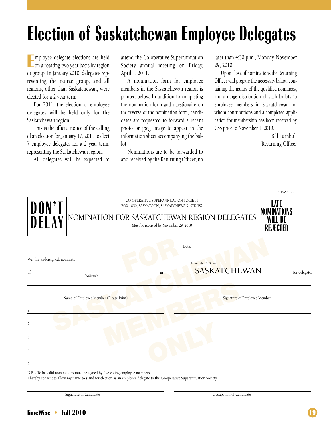## **Election of Saskatchewan Employee Delegates**

**E** on a rotating two year basis by region mployee delegate elections are held or group. In January 2010, delegates representing the retiree group, and all regions, other than Saskatchewan, were elected for a 2 year term.

For 2011, the election of employee delegates will be held only for the Saskatchewan region.

This is the official notice of the calling of an election for January 17, 2011 to elect 7 employee delegates for a 2 year term, representing the Saskatchewan region.

All delegates will be expected to

attend the Co-operative Superannuation Society annual meeting on Friday, April 1, 2011.

A nomination form for employee members in the Saskatchewan region is printed below. In addition to completing the nomination form and questionaire on the reverse of the nomination form, candidates are requested to forward a recent photo or jpeg image to appear in the information sheet accompanying the ballot.

Nominations are to be forwarded to and received by the Returning Officer, no later than 4:30 p.m., Monday, November 29, 2010.

Upon close of nominations the Returning Officer will prepare the necessary ballot, containing the names of the qualified nominees, and arrange distribution of such ballots to employee members in Saskatchewan for whom contributions and a completed application for membership has been received by CSS prior to November 1, 2010.

> Bill Turnbull Returning Officer

|                |                                                                                                                       |                                                                                                                                                                           | PLEASE CLIP                                              |
|----------------|-----------------------------------------------------------------------------------------------------------------------|---------------------------------------------------------------------------------------------------------------------------------------------------------------------------|----------------------------------------------------------|
| DON'T<br>DELAY |                                                                                                                       | CO-OPERATIVE SUPERANNUATION SOCIETY<br>BOX 1850, SASKATOON, SASKATCHEWAN S7K 3S2<br>NOMINATION FOR SASKATCHEWAN REGION DELEGATES<br>Must be received by November 29, 2010 | LATE<br><b>NOMINATIONS</b><br><b>WILL BE</b><br>REJECTED |
|                |                                                                                                                       | Date: Date:                                                                                                                                                               |                                                          |
|                |                                                                                                                       | (Candidate's Name)                                                                                                                                                        |                                                          |
| of             |                                                                                                                       | <b>SASKATCHEWAN</b><br>in                                                                                                                                                 | for delegate.                                            |
|                | (Address)                                                                                                             |                                                                                                                                                                           |                                                          |
|                | Name of Employee Member (Please Print)                                                                                |                                                                                                                                                                           | Signature of Employee Member                             |
|                |                                                                                                                       |                                                                                                                                                                           |                                                          |
|                |                                                                                                                       |                                                                                                                                                                           |                                                          |
|                |                                                                                                                       |                                                                                                                                                                           |                                                          |
|                |                                                                                                                       |                                                                                                                                                                           |                                                          |
|                |                                                                                                                       |                                                                                                                                                                           |                                                          |
| 3              | <u>and the state of the state of the state of the state of the state of the state of the state of the state of th</u> |                                                                                                                                                                           |                                                          |

N.B. - To be valid nominations must be signed by five voting employee members.

I hereby consent to allow my name to stand for election as an employee delegate to the Co-operative Superannuation Society.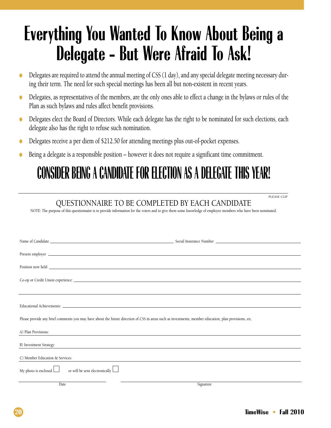## **Everything You Wanted To Know About Being a Delegate - But Were Afraid To Ask!**

- Delegates are required to attend the annual meeting of CSS (1 day), and any special delegate meeting necessary during their term. The need for such special meetings has been all but non-existent in recent years.
- Delegates, as representatives of the members, are the only ones able to effect a change in the bylaws or rules of the Plan as such bylaws and rules affect benefit provisions.
- Delegates elect the Board of Directors. While each delegate has the right to be nominated for such elections, each delegate also has the right to refuse such nomination.
- Delegates receive a per diem of \$212.50 for attending meetings plus out-of-pocket expenses.
- Being a delegate is a responsible position however it does not require a significant time commitment.

### **CONSIDER BEING A CANDIDATE FOR ELECTION AS A DELEGATE THIS YEAR!**

### QUESTIONNAIRE TO BE COMPLETED BY EACH CANDIDATE

NOTE: The purpose of this questionnaire is to provide information for the voters and to give them some knowledge of employee members who have been nominated.

| Name of Candidate example and the set of the set of the set of the Social Insurance Number example and the set of the set of the set of the set of the set of the set of the set of the set of the set of the set of the set o       |
|--------------------------------------------------------------------------------------------------------------------------------------------------------------------------------------------------------------------------------------|
|                                                                                                                                                                                                                                      |
| Present employer <u>example and the second contract of the second contract of the second contract of the second contract of the second contract of the second contract of the second contract of the second contract of the seco</u> |
| Position now held <b>example and the contract of the contract of the contract of the contract of the contract of the contract of the contract of the contract of the contract of the contract of the contract of the contract of</b> |
|                                                                                                                                                                                                                                      |
|                                                                                                                                                                                                                                      |
|                                                                                                                                                                                                                                      |
|                                                                                                                                                                                                                                      |
|                                                                                                                                                                                                                                      |
| Please provide any brief comments you may have about the future direction of CSS in areas such as investments, member education, plan provisions, etc.                                                                               |
| A) Plan Provisions:                                                                                                                                                                                                                  |
| B) Investment Strategy:<br><u> 1989 - Jan Barbara, martxa al II-lea (h. 1989).</u>                                                                                                                                                   |
|                                                                                                                                                                                                                                      |
| C) Member Education & Services:                                                                                                                                                                                                      |
| My photo is enclosed $\Box$<br>or will be sent electronically                                                                                                                                                                        |
| Date<br>Signature                                                                                                                                                                                                                    |

PLEASE CLIP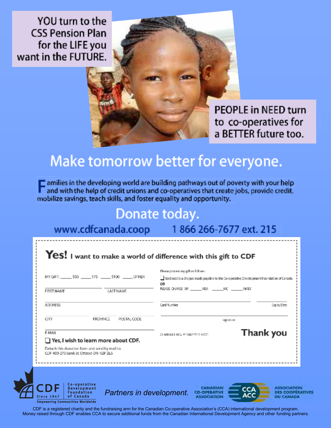YOU turn to the **CSS Pension Plan** for the LIFE you want in the FUTURE.

> **PEOPLE in NEED turn** to co-operatives for a BETTER future too.

### Make tomorrow better for everyone.

amilies in the developing world are building pathways out of poverty with your help and with the help of credit unions and co-operatives that create jobs, provide credit, mobilize savings, teach skills, and foster equality and opportunity.

### Donate today.

www.cdfcanada.coop

1866 266-7677 ext. 215

| Card Number<br>Explire Date<br>POSTAL CODE<br>PROVINCE<br>signature<br>Thank you<br>CHARTAILE REG. # 11807 5517 RRDDL | MY GIFT: \$50 575 \$100 OTHER<br><b>FIRST NAME</b><br>LASTNAME                           | Please process my gift as follows:<br>Endosed is a cheque made payable to the Co-operative Development Foundation of Canada<br>ΟR<br>PLEASE CHARGE MY WISA MC MC AMEX |  |  |
|-----------------------------------------------------------------------------------------------------------------------|------------------------------------------------------------------------------------------|-----------------------------------------------------------------------------------------------------------------------------------------------------------------------|--|--|
|                                                                                                                       | <b>ADDRESS</b>                                                                           |                                                                                                                                                                       |  |  |
|                                                                                                                       | <b>CITY</b>                                                                              |                                                                                                                                                                       |  |  |
|                                                                                                                       | E-MAIL<br>$\Box$ Yes, I wish to learn more about CDF.                                    |                                                                                                                                                                       |  |  |
|                                                                                                                       | Detach this donation form and send by mail to:<br>CDF 400-275 Bank St. Ottawa ON K2P 2L6 |                                                                                                                                                                       |  |  |

CDF is a registered charity and the fundraising arm for the Canadian Co-operative Association's (CCA) international development program. Money raised through CDF enables CCA to secure additional funds from the Canadian International Development Agency and other funding partners.